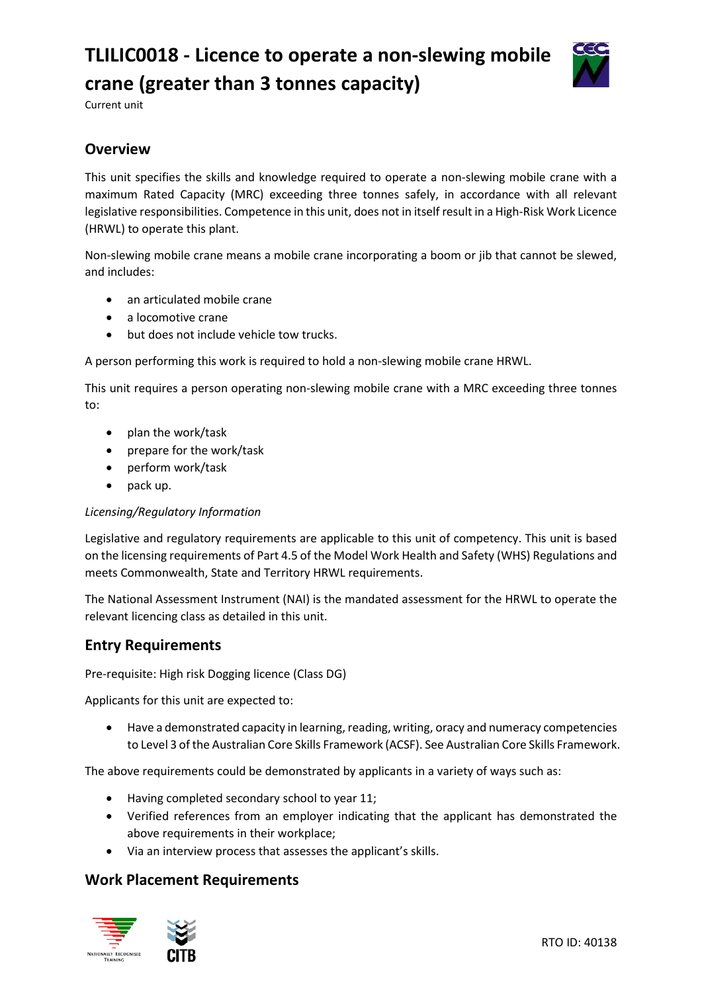# **TLILIC0018 - Licence to operate a non-slewing mobile crane (greater than 3 tonnes capacity)**



Current unit

# **Overview**

This unit specifies the skills and knowledge required to operate a non-slewing mobile crane with a maximum Rated Capacity (MRC) exceeding three tonnes safely, in accordance with all relevant legislative responsibilities. Competence in this unit, does not in itself result in a High-Risk Work Licence (HRWL) to operate this plant.

Non-slewing mobile crane means a mobile crane incorporating a boom or jib that cannot be slewed, and includes:

- an articulated mobile crane
- a locomotive crane
- but does not include vehicle tow trucks.

A person performing this work is required to hold a non-slewing mobile crane HRWL.

This unit requires a person operating non-slewing mobile crane with a MRC exceeding three tonnes to:

- plan the work/task
- prepare for the work/task
- perform work/task
- pack up.

#### *Licensing/Regulatory Information*

Legislative and regulatory requirements are applicable to this unit of competency. This unit is based on the licensing requirements of Part 4.5 of the Model Work Health and Safety (WHS) Regulations and meets Commonwealth, State and Territory HRWL requirements.

The National Assessment Instrument (NAI) is the mandated assessment for the HRWL to operate the relevant licencing class as detailed in this unit.

# **Entry Requirements**

Pre-requisite: High risk Dogging licence (Class DG)

Applicants for this unit are expected to:

• Have a demonstrated capacity in learning, reading, writing, oracy and numeracy competencies to Level 3 of the Australian Core Skills Framework (ACSF). See Australian Core Skills Framework.

The above requirements could be demonstrated by applicants in a variety of ways such as:

- Having completed secondary school to year 11;
- Verified references from an employer indicating that the applicant has demonstrated the above requirements in their workplace;
- Via an interview process that assesses the applicant's skills.

#### **Work Placement Requirements**